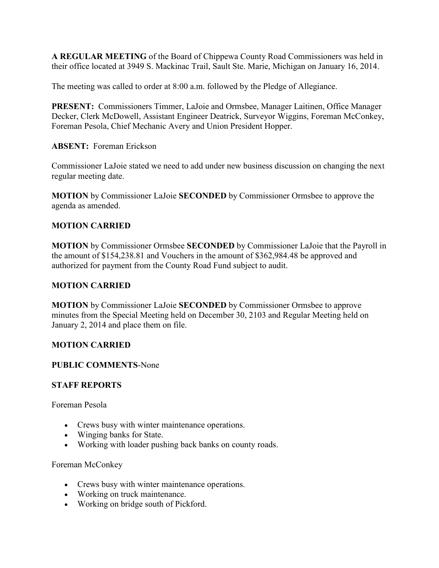**A REGULAR MEETING** of the Board of Chippewa County Road Commissioners was held in their office located at 3949 S. Mackinac Trail, Sault Ste. Marie, Michigan on January 16, 2014.

The meeting was called to order at 8:00 a.m. followed by the Pledge of Allegiance.

**PRESENT:** Commissioners Timmer, LaJoie and Ormsbee, Manager Laitinen, Office Manager Decker, Clerk McDowell, Assistant Engineer Deatrick, Surveyor Wiggins, Foreman McConkey, Foreman Pesola, Chief Mechanic Avery and Union President Hopper.

## **ABSENT:** Foreman Erickson

Commissioner LaJoie stated we need to add under new business discussion on changing the next regular meeting date.

**MOTION** by Commissioner LaJoie **SECONDED** by Commissioner Ormsbee to approve the agenda as amended.

## **MOTION CARRIED**

**MOTION** by Commissioner Ormsbee **SECONDED** by Commissioner LaJoie that the Payroll in the amount of \$154,238.81 and Vouchers in the amount of \$362,984.48 be approved and authorized for payment from the County Road Fund subject to audit.

# **MOTION CARRIED**

**MOTION** by Commissioner LaJoie **SECONDED** by Commissioner Ormsbee to approve minutes from the Special Meeting held on December 30, 2103 and Regular Meeting held on January 2, 2014 and place them on file.

## **MOTION CARRIED**

## **PUBLIC COMMENTS**-None

## **STAFF REPORTS**

Foreman Pesola

- Crews busy with winter maintenance operations.
- Winging banks for State.
- Working with loader pushing back banks on county roads.

Foreman McConkey

- Crews busy with winter maintenance operations.
- Working on truck maintenance.
- Working on bridge south of Pickford.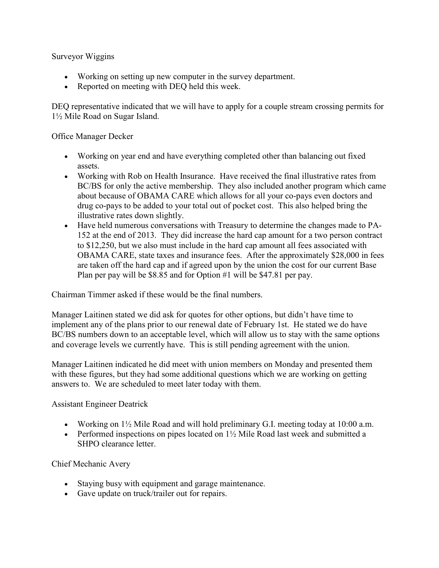Surveyor Wiggins

- Working on setting up new computer in the survey department.
- Reported on meeting with DEQ held this week.

DEQ representative indicated that we will have to apply for a couple stream crossing permits for 1½ Mile Road on Sugar Island.

Office Manager Decker

- Working on year end and have everything completed other than balancing out fixed assets.
- Working with Rob on Health Insurance. Have received the final illustrative rates from BC/BS for only the active membership. They also included another program which came about because of OBAMA CARE which allows for all your co-pays even doctors and drug co-pays to be added to your total out of pocket cost. This also helped bring the illustrative rates down slightly.
- Have held numerous conversations with Treasury to determine the changes made to PA-152 at the end of 2013. They did increase the hard cap amount for a two person contract to \$12,250, but we also must include in the hard cap amount all fees associated with OBAMA CARE, state taxes and insurance fees. After the approximately \$28,000 in fees are taken off the hard cap and if agreed upon by the union the cost for our current Base Plan per pay will be \$8.85 and for Option #1 will be \$47.81 per pay.

Chairman Timmer asked if these would be the final numbers.

Manager Laitinen stated we did ask for quotes for other options, but didn't have time to implement any of the plans prior to our renewal date of February 1st. He stated we do have BC/BS numbers down to an acceptable level, which will allow us to stay with the same options and coverage levels we currently have. This is still pending agreement with the union.

Manager Laitinen indicated he did meet with union members on Monday and presented them with these figures, but they had some additional questions which we are working on getting answers to. We are scheduled to meet later today with them.

Assistant Engineer Deatrick

- Working on  $1\frac{1}{2}$  Mile Road and will hold preliminary G.I. meeting today at 10:00 a.m.
- Performed inspections on pipes located on  $1\frac{1}{2}$  Mile Road last week and submitted a SHPO clearance letter.

Chief Mechanic Avery

- Staying busy with equipment and garage maintenance.
- Gave update on truck/trailer out for repairs.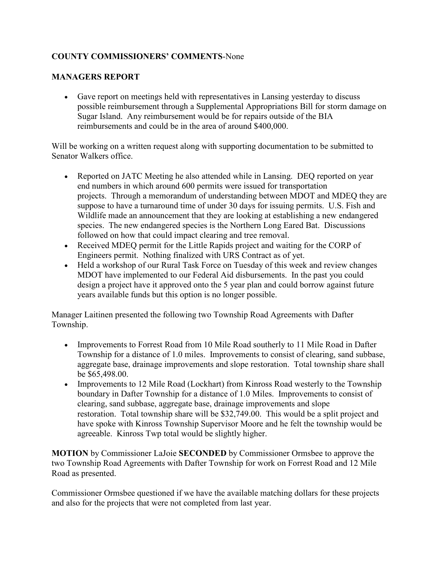# **COUNTY COMMISSIONERS' COMMENTS**-None

## **MANAGERS REPORT**

• Gave report on meetings held with representatives in Lansing yesterday to discuss possible reimbursement through a Supplemental Appropriations Bill for storm damage on Sugar Island. Any reimbursement would be for repairs outside of the BIA reimbursements and could be in the area of around \$400,000.

Will be working on a written request along with supporting documentation to be submitted to Senator Walkers office.

- Reported on JATC Meeting he also attended while in Lansing. DEQ reported on year end numbers in which around 600 permits were issued for transportation projects. Through a memorandum of understanding between MDOT and MDEQ they are suppose to have a turnaround time of under 30 days for issuing permits. U.S. Fish and Wildlife made an announcement that they are looking at establishing a new endangered species. The new endangered species is the Northern Long Eared Bat. Discussions followed on how that could impact clearing and tree removal.
- Received MDEQ permit for the Little Rapids project and waiting for the CORP of Engineers permit. Nothing finalized with URS Contract as of yet.
- Held a workshop of our Rural Task Force on Tuesday of this week and review changes MDOT have implemented to our Federal Aid disbursements. In the past you could design a project have it approved onto the 5 year plan and could borrow against future years available funds but this option is no longer possible.

Manager Laitinen presented the following two Township Road Agreements with Dafter Township.

- Improvements to Forrest Road from 10 Mile Road southerly to 11 Mile Road in Dafter Township for a distance of 1.0 miles. Improvements to consist of clearing, sand subbase, aggregate base, drainage improvements and slope restoration. Total township share shall be \$65,498.00.
- Improvements to 12 Mile Road (Lockhart) from Kinross Road westerly to the Township boundary in Dafter Township for a distance of 1.0 Miles. Improvements to consist of clearing, sand subbase, aggregate base, drainage improvements and slope restoration. Total township share will be \$32,749.00. This would be a split project and have spoke with Kinross Township Supervisor Moore and he felt the township would be agreeable. Kinross Twp total would be slightly higher.

**MOTION** by Commissioner LaJoie **SECONDED** by Commissioner Ormsbee to approve the two Township Road Agreements with Dafter Township for work on Forrest Road and 12 Mile Road as presented.

Commissioner Ormsbee questioned if we have the available matching dollars for these projects and also for the projects that were not completed from last year.